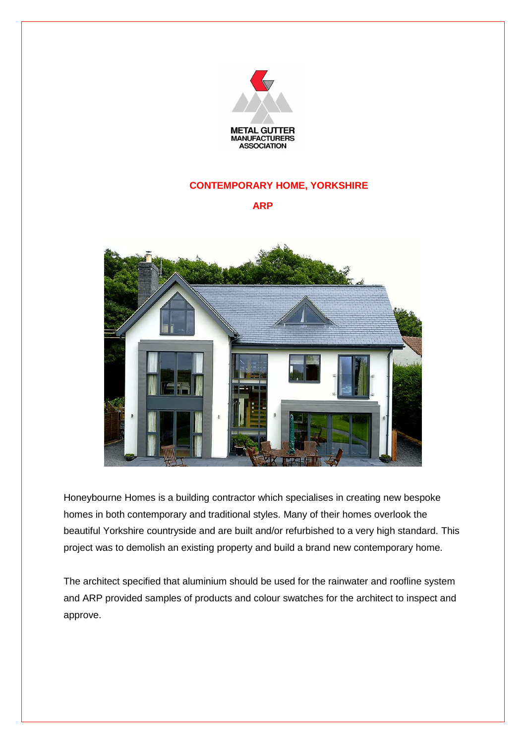

## **CONTEMPORARY HOME, YORKSHIRE**

## **ARP**



Honeybourne Homes is a building contractor which specialises in creating new bespoke homes in both contemporary and traditional styles. Many of their homes overlook the beautiful Yorkshire countryside and are built and/or refurbished to a very high standard. This project was to demolish an existing property and build a brand new contemporary home.

The architect specified that aluminium should be used for the rainwater and roofline system and ARP provided samples of products and colour swatches for the architect to inspect and approve.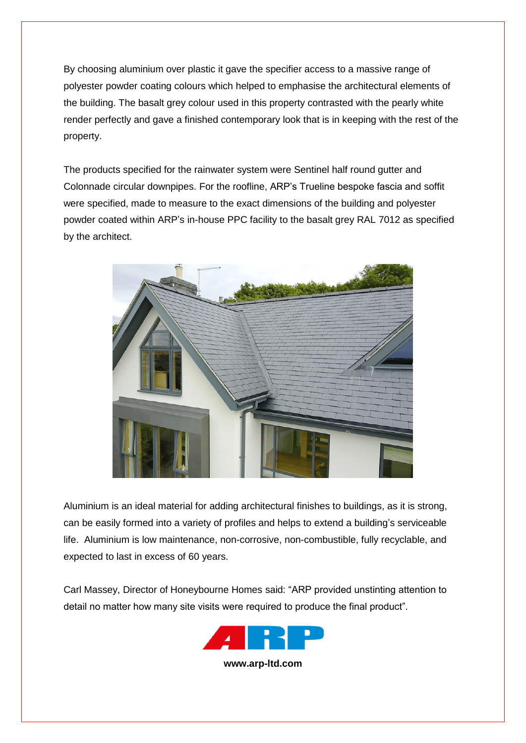By choosing aluminium over plastic it gave the specifier access to a massive range of polyester powder coating colours which helped to emphasise the architectural elements of the building. The basalt grey colour used in this property contrasted with the pearly white render perfectly and gave a finished contemporary look that is in keeping with the rest of the property.

The products specified for the rainwater system were Sentinel half round gutter and Colonnade circular downpipes. For the roofline, ARP's Trueline bespoke fascia and soffit were specified, made to measure to the exact dimensions of the building and polyester powder coated within ARP's in-house PPC facility to the basalt grey RAL 7012 as specified by the architect.



Aluminium is an ideal material for adding architectural finishes to buildings, as it is strong, can be easily formed into a variety of profiles and helps to extend a building's serviceable life. Aluminium is low maintenance, non-corrosive, non-combustible, fully recyclable, and expected to last in excess of 60 years.

Carl Massey, Director of Honeybourne Homes said: "ARP provided unstinting attention to detail no matter how many site visits were required to produce the final product".



**www.arp-ltd.com**